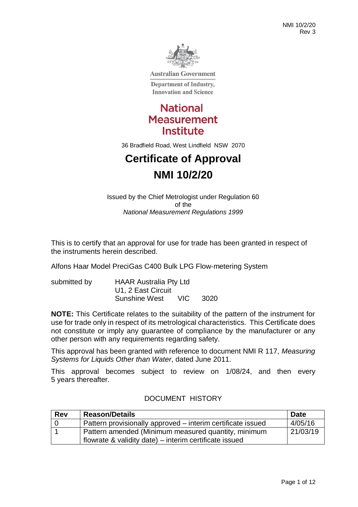

**Australian Government** 

**Department of Industry, Innovation and Science** 



36 Bradfield Road, West Lindfield NSW 2070

# **Certificate of Approval NMI 10/2/20**

Issued by the Chief Metrologist under Regulation 60 of the *National Measurement Regulations 1999*

This is to certify that an approval for use for trade has been granted in respect of the instruments herein described.

Alfons Haar Model PreciGas C400 Bulk LPG Flow-metering System

| submitted by | <b>HAAR Australia Pty Ltd</b> |     |      |
|--------------|-------------------------------|-----|------|
|              | U1, 2 East Circuit            |     |      |
|              | Sunshine West                 | VIC | 3020 |

**NOTE:** This Certificate relates to the suitability of the pattern of the instrument for use for trade only in respect of its metrological characteristics. This Certificate does not constitute or imply any guarantee of compliance by the manufacturer or any other person with any requirements regarding safety.

This approval has been granted with reference to document NMI R 117, *Measuring Systems for Liquids Other than Water*, dated June 2011.

This approval becomes subject to review on 1/08/24, and then every 5 years thereafter.

| <b>Rev</b> | Reason/Details                                              | <b>Date</b> |
|------------|-------------------------------------------------------------|-------------|
| l 0        | Pattern provisionally approved – interim certificate issued | 4/05/16     |
|            | Pattern amended (Minimum measured quantity, minimum         | 21/03/19    |
|            | flowrate & validity date) – interim certificate issued      |             |

#### DOCUMENT HISTORY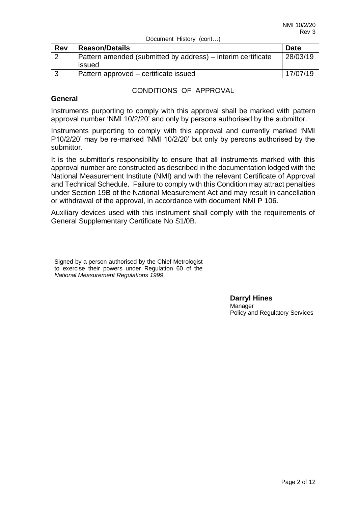| Document History (cont) |  |
|-------------------------|--|
|-------------------------|--|

| <b>Rev</b> | <b>Reason/Details</b>                                                  | <b>Date</b> |
|------------|------------------------------------------------------------------------|-------------|
| $\sim$     | Pattern amended (submitted by address) – interim certificate<br>issued | 28/03/19    |
|            | Pattern approved – certificate issued                                  | 17/07/19    |

#### CONDITIONS OF APPROVAL

#### **General**

Instruments purporting to comply with this approval shall be marked with pattern approval number 'NMI 10/2/20' and only by persons authorised by the submittor.

Instruments purporting to comply with this approval and currently marked 'NMI P10/2/20' may be re-marked 'NMI 10/2/20' but only by persons authorised by the submittor.

It is the submittor's responsibility to ensure that all instruments marked with this approval number are constructed as described in the documentation lodged with the National Measurement Institute (NMI) and with the relevant Certificate of Approval and Technical Schedule. Failure to comply with this Condition may attract penalties under Section 19B of the National Measurement Act and may result in cancellation or withdrawal of the approval, in accordance with document NMI P 106.

Auxiliary devices used with this instrument shall comply with the requirements of General Supplementary Certificate No S1/0B.

Signed by a person authorised by the Chief Metrologist to exercise their powers under Regulation 60 of the *National Measurement Regulations 1999*.

> **Darryl Hines**  Manager Policy and Regulatory Services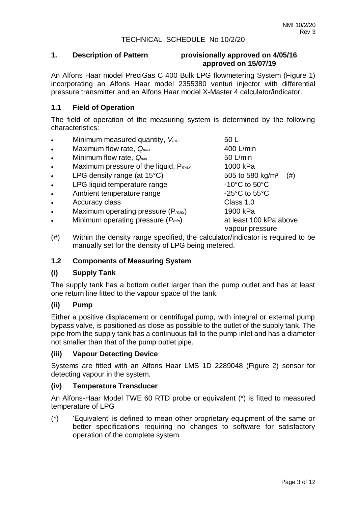# **1. Description of Pattern provisionally approved on 4/05/16 approved on 15/07/19**

An Alfons Haar model PreciGas C 400 Bulk LPG flowmetering System (Figure 1) incorporating an Alfons Haar model 2355380 venturi injector with differential pressure transmitter and an Alfons Haar model X-Master 4 calculator/indicator.

# **1.1 Field of Operation**

The field of operation of the measuring system is determined by the following characteristics:

- Minimum measured quantity,  $V_{min}$  50 L • Maximum flow rate,  $Q_{max}$  and the matter of the 400 L/min
- Minimum flow rate,  $Q_{min}$  60 L/min
- Maximum pressure of the liquid, P*max* 1000 kPa
- LPG density range (at  $15^{\circ}$ C) 505 to 580 kg/m<sup>3</sup> (#)
- LPG liquid temperature range  $-10^{\circ}$ C to 50°C
- Ambient temperature range Theorem 25°C to 55°C
- Accuracy class **Class Class** 1.0
- Maximum operating pressure (P*max*) 1900 kPa
- Minimum operating pressure (*Pmin*) at least 100 kPa above

vapour pressure

(#) Within the density range specified, the calculator/indicator is required to be manually set for the density of LPG being metered.

#### **1.2 Components of Measuring System**

#### **(i) Supply Tank**

The supply tank has a bottom outlet larger than the pump outlet and has at least one return line fitted to the vapour space of the tank.

#### **(ii) Pump**

Either a positive displacement or centrifugal pump, with integral or external pump bypass valve, is positioned as close as possible to the outlet of the supply tank. The pipe from the supply tank has a continuous fall to the pump inlet and has a diameter not smaller than that of the pump outlet pipe.

#### **(iii) Vapour Detecting Device**

Systems are fitted with an Alfons Haar LMS 1D 2289048 (Figure 2) sensor for detecting vapour in the system.

#### **(iv) Temperature Transducer**

An Alfons-Haar Model TWE 60 RTD probe or equivalent (\*) is fitted to measured temperature of LPG

(\*) 'Equivalent' is defined to mean other proprietary equipment of the same or better specifications requiring no changes to software for satisfactory operation of the complete system.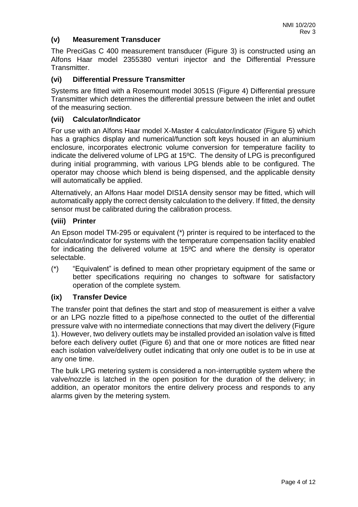# **(v) Measurement Transducer**

The PreciGas C 400 measurement transducer (Figure 3) is constructed using an Alfons Haar model 2355380 venturi injector and the Differential Pressure Transmitter.

# **(vi) Differential Pressure Transmitter**

Systems are fitted with a Rosemount model 3051S (Figure 4) Differential pressure Transmitter which determines the differential pressure between the inlet and outlet of the measuring section.

# **(vii) Calculator/Indicator**

For use with an Alfons Haar model X-Master 4 calculator/indicator (Figure 5) which has a graphics display and numerical/function soft keys housed in an aluminium enclosure, incorporates electronic volume conversion for temperature facility to indicate the delivered volume of LPG at 15ºC. The density of LPG is preconfigured during initial programming, with various LPG blends able to be configured. The operator may choose which blend is being dispensed, and the applicable density will automatically be applied.

Alternatively, an Alfons Haar model DIS1A density sensor may be fitted, which will automatically apply the correct density calculation to the delivery. If fitted, the density sensor must be calibrated during the calibration process.

#### **(viii) Printer**

An Epson model TM-295 or equivalent (\*) printer is required to be interfaced to the calculator/indicator for systems with the temperature compensation facility enabled for indicating the delivered volume at 15ºC and where the density is operator selectable.

(\*) "Equivalent" is defined to mean other proprietary equipment of the same or better specifications requiring no changes to software for satisfactory operation of the complete system.

#### **(ix) Transfer Device**

The transfer point that defines the start and stop of measurement is either a valve or an LPG nozzle fitted to a pipe/hose connected to the outlet of the differential pressure valve with no intermediate connections that may divert the delivery (Figure 1). However, two delivery outlets may be installed provided an isolation valve is fitted before each delivery outlet (Figure 6) and that one or more notices are fitted near each isolation valve/delivery outlet indicating that only one outlet is to be in use at any one time.

The bulk LPG metering system is considered a non-interruptible system where the valve/nozzle is latched in the open position for the duration of the delivery; in addition, an operator monitors the entire delivery process and responds to any alarms given by the metering system.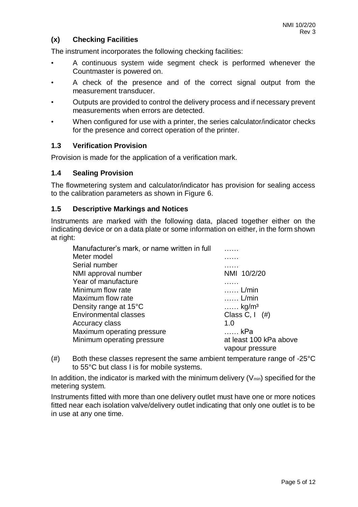# **(x) Checking Facilities**

The instrument incorporates the following checking facilities:

- A continuous system wide segment check is performed whenever the Countmaster is powered on.
- A check of the presence and of the correct signal output from the measurement transducer.
- Outputs are provided to control the delivery process and if necessary prevent measurements when errors are detected.
- When configured for use with a printer, the series calculator/indicator checks for the presence and correct operation of the printer.

#### **1.3 Verification Provision**

Provision is made for the application of a verification mark.

#### **1.4 Sealing Provision**

The flowmetering system and calculator/indicator has provision for sealing access to the calibration parameters as shown in Figure 6.

#### **1.5 Descriptive Markings and Notices**

Instruments are marked with the following data, placed together either on the indicating device or on a data plate or some information on either, in the form shown at right:

| Manufacturer's mark, or name written in full |                              |
|----------------------------------------------|------------------------------|
| Meter model                                  |                              |
| Serial number                                | .                            |
| NMI approval number                          | NMI 10/2/20                  |
| Year of manufacture                          |                              |
| Minimum flow rate                            | $\ldots$ . L/min             |
| Maximum flow rate                            | $\ldots$ . L/min             |
| Density range at 15°C                        | $\ldots$ . kg/m <sup>3</sup> |
| <b>Environmental classes</b>                 | Class C, I $(\#)$            |
| Accuracy class                               | 1.0                          |
| Maximum operating pressure                   | kPa                          |
| Minimum operating pressure                   | at least 100 kPa above       |
|                                              | vapour pressure              |

 $(\#)$  Both these classes represent the same ambient temperature range of -25 $^{\circ}$ C to 55°C but class I is for mobile systems.

In addition, the indicator is marked with the minimum delivery  $(V_{min})$  specified for the metering system.

Instruments fitted with more than one delivery outlet must have one or more notices fitted near each isolation valve/delivery outlet indicating that only one outlet is to be in use at any one time.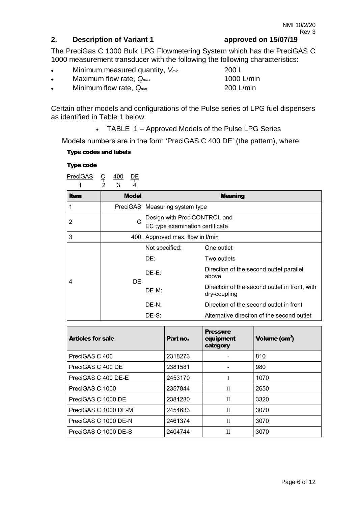# **2. Description of Variant 1 approved on 15/07/19**

The PreciGas C 1000 Bulk LPG Flowmetering System which has the PreciGAS C 1000 measurement transducer with the following the following characteristics:

- Minimum measured quantity, V<sub>min</sub>
- Maximum flow rate,  $Q_{max}$
- Minimum flow rate,  $Q_{min}$

Certain other models and configurations of the Pulse series of LPG fuel dispensers as identified in Table 1 below.

TABLE 1 – Approved Models of the Pulse LPG Series

Models numbers are in the form 'PreciGAS C 400 DE' (the pattern), where:

#### **Type codes and labels**

#### **Type code**



|             | $\overline{\phantom{a}}$<br>$\mathfrak{L}$<br>4 |                                                                 |                                                               |  |
|-------------|-------------------------------------------------|-----------------------------------------------------------------|---------------------------------------------------------------|--|
| <b>Item</b> | <b>Model</b>                                    |                                                                 | <b>Meaning</b>                                                |  |
|             |                                                 | PreciGAS Measuring system type                                  |                                                               |  |
| 2           | C                                               | Design with PreciCONTROL and<br>EC type examination certificate |                                                               |  |
| 3           |                                                 | 400 Approved max. flow in I/min                                 |                                                               |  |
| 4           | DE.                                             | Not specified:                                                  | One outlet                                                    |  |
|             |                                                 | DE:                                                             | Two outlets                                                   |  |
|             |                                                 | $DE-E:$                                                         | Direction of the second outlet parallel<br>above              |  |
|             |                                                 | $DE-M:$                                                         | Direction of the second outlet in front, with<br>dry-coupling |  |
|             |                                                 | $DE-N:$                                                         | Direction of the second outlet in front                       |  |
|             |                                                 | DE-S:                                                           | Alternative direction of the second outlet                    |  |

| <b>Articles for sale</b> | Part no. | <b>Pressure</b><br>equipment<br>category | Volume $(cm3)$ |
|--------------------------|----------|------------------------------------------|----------------|
| PreciGAS C 400           | 2318273  |                                          | 810            |
| PreciGAS C 400 DE        | 2381581  |                                          | 980            |
| PreciGAS C 400 DE-E      | 2453170  |                                          | 1070           |
| PreciGAS C 1000          | 2357844  | П                                        | 2650           |
| PreciGAS C 1000 DE       | 2381280  | $\mathbf{H}$                             | 3320           |
| PreciGAS C 1000 DE-M     | 2454633  | $\mathbf{H}$                             | 3070           |
| PreciGAS C 1000 DE-N     | 2461374  | $\mathbf{I}$                             | 3070           |
| PreciGAS C 1000 DE-S     | 2404744  | $_{\text{II}}$                           | 3070           |

| 200 L      |  |
|------------|--|
| 1000 L/min |  |
| 200 L/min  |  |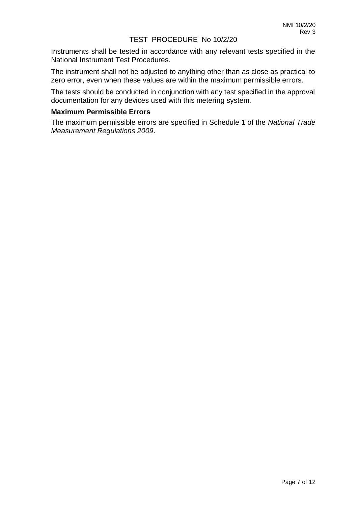#### TEST PROCEDURE No 10/2/20

Instruments shall be tested in accordance with any relevant tests specified in the National Instrument Test Procedures.

The instrument shall not be adjusted to anything other than as close as practical to zero error, even when these values are within the maximum permissible errors.

The tests should be conducted in conjunction with any test specified in the approval documentation for any devices used with this metering system.

#### **Maximum Permissible Errors**

The maximum permissible errors are specified in Schedule 1 of the *National Trade Measurement Regulations 2009*.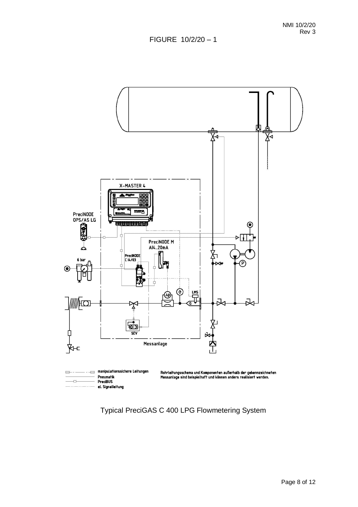

Typical PreciGAS C 400 LPG Flowmetering System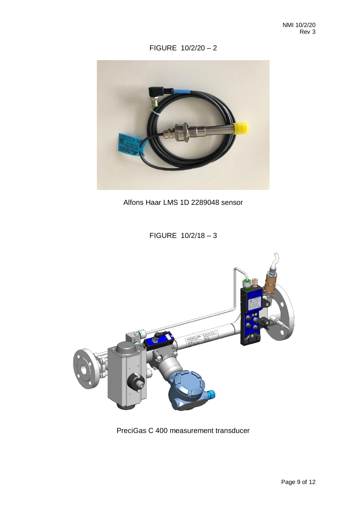FIGURE 10/2/20 – 2



Alfons Haar LMS 1D 2289048 sensor

FIGURE 10/2/18 – 3



PreciGas C 400 measurement transducer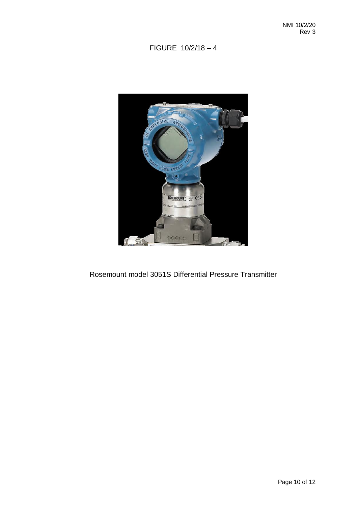# FIGURE 10/2/18 – 4



Rosemount model 3051S Differential Pressure Transmitter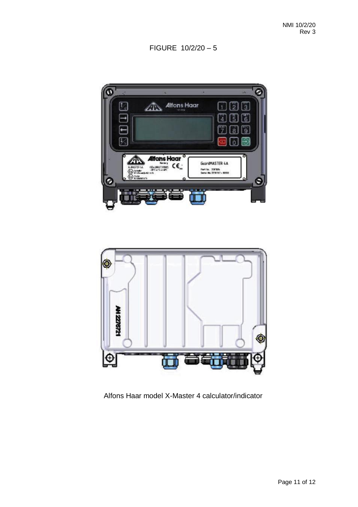FIGURE 10/2/20 – 5





Alfons Haar model X-Master 4 calculator/indicator